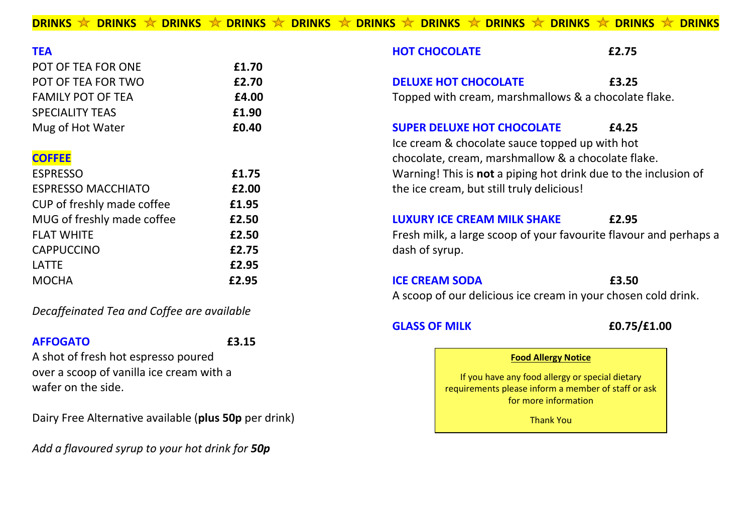|  |  |  |  |  | DRINKS ☆ DRINKS ☆ DRINKS ☆ DRINKS ☆ DRINKS ☆ DRINKS ☆ DRINKS ☆ DRINKS ☆ DRINKS ☆ DRINKS ☆ DRINKS |  |  |  |  |  |
|--|--|--|--|--|--------------------------------------------------------------------------------------------------|--|--|--|--|--|
|--|--|--|--|--|--------------------------------------------------------------------------------------------------|--|--|--|--|--|

# **TEA**

| POT OF TEA FOR ONE       | £1.70 |
|--------------------------|-------|
| POT OF TEA FOR TWO       | £2.70 |
| <b>FAMILY POT OF TEA</b> | £4.00 |
| <b>SPECIALITY TEAS</b>   | £1.90 |
| Mug of Hot Water         | £0.40 |

## **COFFEE**

| <b>ESPRESSO</b>            | £1.75 |
|----------------------------|-------|
| <b>ESPRESSO MACCHIATO</b>  | £2.00 |
| CUP of freshly made coffee | £1.95 |
| MUG of freshly made coffee | £2.50 |
| <b>FLAT WHITE</b>          | £2.50 |
| <b>CAPPUCCINO</b>          | £2.75 |
| <b>LATTE</b>               | £2.95 |
| <b>MOCHA</b>               | £2.95 |
|                            |       |

# *Decaffeinated Tea and Coffee are available*

# **AFFOGATO £3.15**

A shot of fresh hot espresso poured over a scoop of vanilla ice cream with a wafer on the side.

Dairy Free Alternative available (**plus 50p** per drink)

*Add a flavoured syrup to your hot drink for 50p*

| <b>HOT CHOCOLATE</b>                                                                                                                                                                                                                                                      | £2.75 |  |  |  |  |
|---------------------------------------------------------------------------------------------------------------------------------------------------------------------------------------------------------------------------------------------------------------------------|-------|--|--|--|--|
| <b>DELUXE HOT CHOCOLATE</b><br>Topped with cream, marshmallows & a chocolate flake.                                                                                                                                                                                       | £3.25 |  |  |  |  |
| <b>SUPER DELUXE HOT CHOCOLATE</b><br>£4.25<br>Ice cream & chocolate sauce topped up with hot<br>chocolate, cream, marshmallow & a chocolate flake.<br>Warning! This is <b>not</b> a piping hot drink due to the inclusion of<br>the ice cream, but still truly delicious! |       |  |  |  |  |
| <b>LUXURY ICE CREAM MILK SHAKE</b><br>Fresh milk, a large scoop of your favourite flavour and perhaps a<br>dash of syrup.                                                                                                                                                 | £2.95 |  |  |  |  |
| <b>ICE CREAM SODA</b><br>A scoop of our delicious ice cream in your chosen cold drink.                                                                                                                                                                                    | £3.50 |  |  |  |  |

## **GLASS OF MILK £0.75/£1.00**

## **Food Allergy Notice**

If you have any food allergy or special dietary requirements please inform a member of staff or ask for more information

Thank You